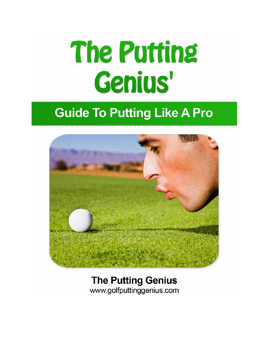# **The Putting** Genius'

# **Guide To Putting Like A Pro**



**The Putting Genius** www.golfputtinggenius.com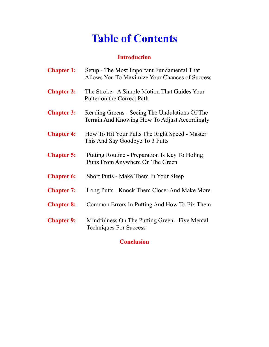# **Table of Contents**

#### **Introduction**

| <b>Chapter 1:</b> | Setup - The Most Important Fundamental That<br>Allows You To Maximize Your Chances of Success   |
|-------------------|-------------------------------------------------------------------------------------------------|
| <b>Chapter 2:</b> | The Stroke - A Simple Motion That Guides Your<br>Putter on the Correct Path                     |
| <b>Chapter 3:</b> | Reading Greens - Seeing The Undulations Of The<br>Terrain And Knowing How To Adjust Accordingly |
| <b>Chapter 4:</b> | How To Hit Your Putts The Right Speed - Master<br>This And Say Goodbye To 3 Putts               |
| <b>Chapter 5:</b> | Putting Routine - Preparation Is Key To Holing<br>Putts From Anywhere On The Green              |
| <b>Chapter 6:</b> | Short Putts - Make Them In Your Sleep                                                           |
| <b>Chapter 7:</b> | Long Putts - Knock Them Closer And Make More                                                    |
| <b>Chapter 8:</b> | Common Errors In Putting And How To Fix Them                                                    |
| <b>Chapter 9:</b> | Mindfulness On The Putting Green - Five Mental<br><b>Techniques For Success</b>                 |

#### **Conclusion**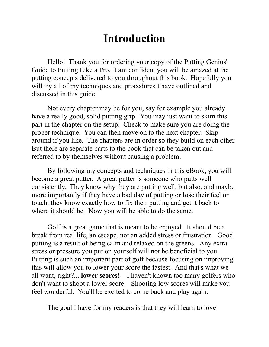### **Introduction**

Hello! Thank you for ordering your copy of the Putting Genius' Guide to Putting Like a Pro. I am confident you will be amazed at the putting concepts delivered to you throughout this book. Hopefully you will try all of my techniques and procedures I have outlined and discussed in this guide.

Not every chapter may be for you, say for example you already have a really good, solid putting grip. You may just want to skim this part in the chapter on the setup. Check to make sure you are doing the proper technique. You can then move on to the next chapter. Skip around if you like. The chapters are in order so they build on each other. But there are separate parts to the book that can be taken out and referred to by themselves without causing a problem.

By following my concepts and techniques in this eBook, you will become a great putter. A great putter is someone who putts well consistently. They know why they are putting well, but also, and maybe more importantly if they have a bad day of putting or lose their feel or touch, they know exactly how to fix their putting and get it back to where it should be. Now you will be able to do the same.

Golf is a great game that is meant to be enjoyed. It should be a break from real life, an escape, not an added stress or frustration. Good putting is a result of being calm and relaxed on the greens. Any extra stress or pressure you put on yourself will not be beneficial to you. Putting is such an important part of golf because focusing on improving this will allow you to lower your score the fastest. And that's what we all want, right?....**lower scores!** I haven't known too many golfers who don't want to shoot a lower score. Shooting low scores will make you feel wonderful. You'll be excited to come back and play again.

The goal I have for my readers is that they will learn to love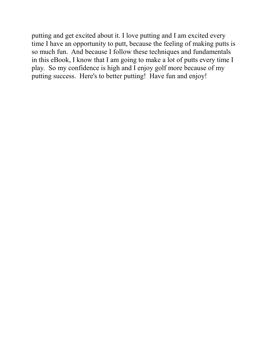putting and get excited about it. I love putting and I am excited every time I have an opportunity to putt, because the feeling of making putts is so much fun. And because I follow these techniques and fundamentals in this eBook, I know that I am going to make a lot of putts every time I play. So my confidence is high and I enjoy golf more because of my putting success. Here's to better putting! Have fun and enjoy!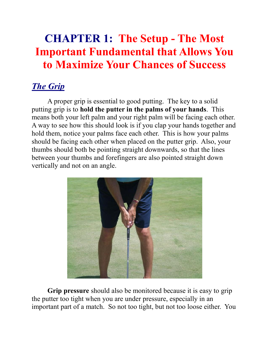# **CHAPTER 1: The Setup - The Most Important Fundamental that Allows You to Maximize Your Chances of Success**

### *The Grip*

A proper grip is essential to good putting. The key to a solid putting grip is to **hold the putter in the palms of your hands**. This means both your left palm and your right palm will be facing each other. A way to see how this should look is if you clap your hands together and hold them, notice your palms face each other. This is how your palms should be facing each other when placed on the putter grip. Also, your thumbs should both be pointing straight downwards, so that the lines between your thumbs and forefingers are also pointed straight down vertically and not on an angle.



**Grip pressure** should also be monitored because it is easy to grip the putter too tight when you are under pressure, especially in an important part of a match. So not too tight, but not too loose either. You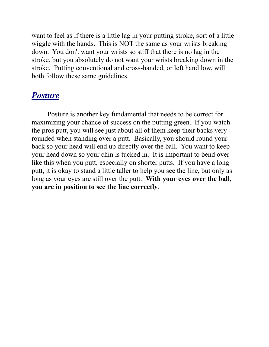want to feel as if there is a little lag in your putting stroke, sort of a little wiggle with the hands. This is NOT the same as your wrists breaking down. You don't want your wrists so stiff that there is no lag in the stroke, but you absolutely do not want your wrists breaking down in the stroke. Putting conventional and cross-handed, or left hand low, will both follow these same guidelines.

#### *Posture*

Posture is another key fundamental that needs to be correct for maximizing your chance of success on the putting green. If you watch the pros putt, you will see just about all of them keep their backs very rounded when standing over a putt. Basically, you should round your back so your head will end up directly over the ball. You want to keep your head down so your chin is tucked in. It is important to bend over like this when you putt, especially on shorter putts. If you have a long putt, it is okay to stand a little taller to help you see the line, but only as long as your eyes are still over the putt. **With your eyes over the ball, you are in position to see the line correctly**.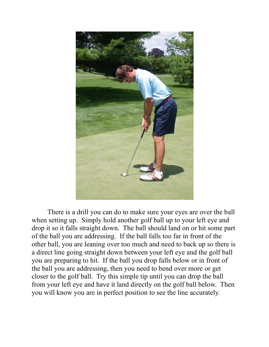

There is a drill you can do to make sure your eyes are over the ball when setting up. Simply hold another golf ball up to your left eye and drop it so it falls straight down. The ball should land on or hit some part of the ball you are addressing. If the ball falls too far in front of the other ball, you are leaning over too much and need to back up so there is a direct line going straight down between your left eye and the golf ball you are preparing to hit. If the ball you drop falls below or in front of the ball you are addressing, then you need to bend over more or get closer to the golf ball. Try this simple tip until you can drop the ball from your left eye and have it land directly on the golf ball below. Then you will know you are in perfect position to see the line accurately.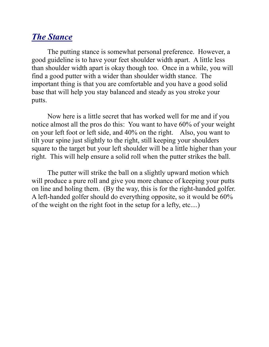### *The Stance*

The putting stance is somewhat personal preference. However, a good guideline is to have your feet shoulder width apart. A little less than shoulder width apart is okay though too. Once in a while, you will find a good putter with a wider than shoulder width stance. The important thing is that you are comfortable and you have a good solid base that will help you stay balanced and steady as you stroke your putts.

Now here is a little secret that has worked well for me and if you notice almost all the pros do this: You want to have 60% of your weight on your left foot or left side, and 40% on the right. Also, you want to tilt your spine just slightly to the right, still keeping your shoulders square to the target but your left shoulder will be a little higher than your right. This will help ensure a solid roll when the putter strikes the ball.

The putter will strike the ball on a slightly upward motion which will produce a pure roll and give you more chance of keeping your putts on line and holing them. (By the way, this is for the right-handed golfer. A left-handed golfer should do everything opposite, so it would be 60% of the weight on the right foot in the setup for a lefty, etc....)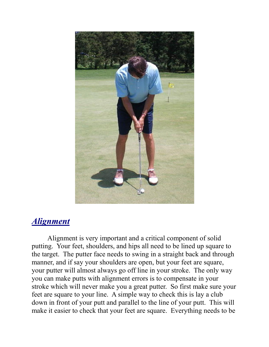

#### *Alignment*

Alignment is very important and a critical component of solid putting. Your feet, shoulders, and hips all need to be lined up square to the target. The putter face needs to swing in a straight back and through manner, and if say your shoulders are open, but your feet are square, your putter will almost always go off line in your stroke. The only way you can make putts with alignment errors is to compensate in your stroke which will never make you a great putter. So first make sure your feet are square to your line. A simple way to check this is lay a club down in front of your putt and parallel to the line of your putt. This will make it easier to check that your feet are square. Everything needs to be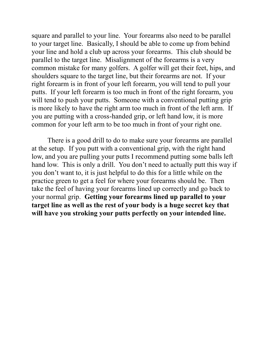square and parallel to your line. Your forearms also need to be parallel to your target line. Basically, I should be able to come up from behind your line and hold a club up across your forearms. This club should be parallel to the target line. Misalignment of the forearms is a very common mistake for many golfers. A golfer will get their feet, hips, and shoulders square to the target line, but their forearms are not. If your right forearm is in front of your left forearm, you will tend to pull your putts. If your left forearm is too much in front of the right forearm, you will tend to push your putts. Someone with a conventional putting grip is more likely to have the right arm too much in front of the left arm. If you are putting with a cross-handed grip, or left hand low, it is more common for your left arm to be too much in front of your right one.

There is a good drill to do to make sure your forearms are parallel at the setup. If you putt with a conventional grip, with the right hand low, and you are pulling your putts I recommend putting some balls left hand low. This is only a drill. You don't need to actually putt this way if you don't want to, it is just helpful to do this for a little while on the practice green to get a feel for where your forearms should be. Then take the feel of having your forearms lined up correctly and go back to your normal grip. **Getting your forearms lined up parallel to your target line as well as the rest of your body is a huge secret key that will have you stroking your putts perfectly on your intended line.**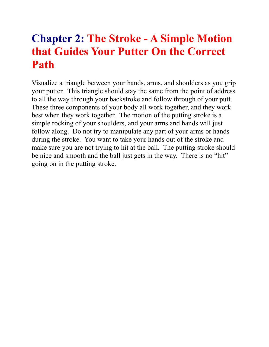# **Chapter 2: The Stroke - A Simple Motion that Guides Your Putter On the Correct Path**

Visualize a triangle between your hands, arms, and shoulders as you grip your putter. This triangle should stay the same from the point of address to all the way through your backstroke and follow through of your putt. These three components of your body all work together, and they work best when they work together. The motion of the putting stroke is a simple rocking of your shoulders, and your arms and hands will just follow along. Do not try to manipulate any part of your arms or hands during the stroke. You want to take your hands out of the stroke and make sure you are not trying to hit at the ball. The putting stroke should be nice and smooth and the ball just gets in the way. There is no "hit" going on in the putting stroke.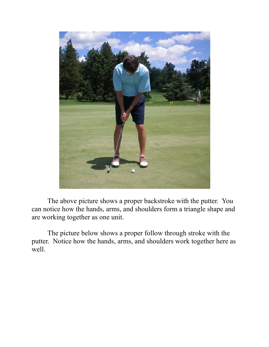

The above picture shows a proper backstroke with the putter. You can notice how the hands, arms, and shoulders form a triangle shape and are working together as one unit.

The picture below shows a proper follow through stroke with the putter. Notice how the hands, arms, and shoulders work together here as well.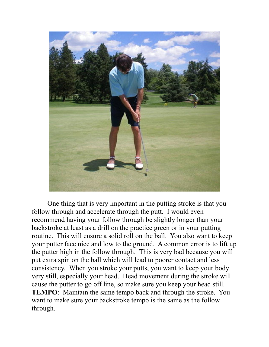

One thing that is very important in the putting stroke is that you follow through and accelerate through the putt. I would even recommend having your follow through be slightly longer than your backstroke at least as a drill on the practice green or in your putting routine. This will ensure a solid roll on the ball. You also want to keep your putter face nice and low to the ground. A common error is to lift up the putter high in the follow through. This is very bad because you will put extra spin on the ball which will lead to poorer contact and less consistency. When you stroke your putts, you want to keep your body very still, especially your head. Head movement during the stroke will cause the putter to go off line, so make sure you keep your head still. **TEMPO**: Maintain the same tempo back and through the stroke. You want to make sure your backstroke tempo is the same as the follow through.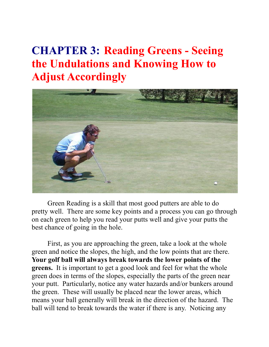# **CHAPTER 3: Reading Greens - Seeing the Undulations and Knowing How to Adjust Accordingly**



Green Reading is a skill that most good putters are able to do pretty well. There are some key points and a process you can go through on each green to help you read your putts well and give your putts the best chance of going in the hole.

First, as you are approaching the green, take a look at the whole green and notice the slopes, the high, and the low points that are there. **Your golf ball will always break towards the lower points of the greens.** It is important to get a good look and feel for what the whole green does in terms of the slopes, especially the parts of the green near your putt. Particularly, notice any water hazards and/or bunkers around the green. These will usually be placed near the lower areas, which means your ball generally will break in the direction of the hazard. The ball will tend to break towards the water if there is any. Noticing any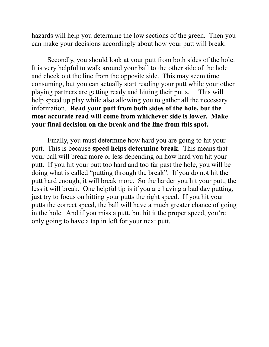hazards will help you determine the low sections of the green. Then you can make your decisions accordingly about how your putt will break.

Secondly, you should look at your putt from both sides of the hole. It is very helpful to walk around your ball to the other side of the hole and check out the line from the opposite side. This may seem time consuming, but you can actually start reading your putt while your other playing partners are getting ready and hitting their putts. This will help speed up play while also allowing you to gather all the necessary information. **Read your putt from both sides of the hole, but the most accurate read will come from whichever side is lower. Make your final decision on the break and the line from this spot.**

Finally, you must determine how hard you are going to hit your putt. This is because **speed helps determine break**. This means that your ball will break more or less depending on how hard you hit your putt. If you hit your putt too hard and too far past the hole, you will be doing what is called "putting through the break". If you do not hit the putt hard enough, it will break more. So the harder you hit your putt, the less it will break. One helpful tip is if you are having a bad day putting, just try to focus on hitting your putts the right speed. If you hit your putts the correct speed, the ball will have a much greater chance of going in the hole. And if you miss a putt, but hit it the proper speed, you're only going to have a tap in left for your next putt.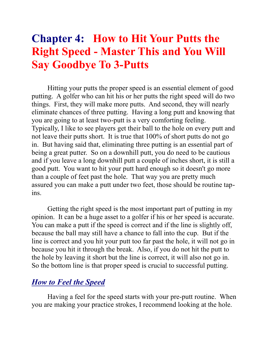### **Chapter 4: How to Hit Your Putts the Right Speed - Master This and You Will Say Goodbye To 3-Putts**

Hitting your putts the proper speed is an essential element of good putting. A golfer who can hit his or her putts the right speed will do two things. First, they will make more putts. And second, they will nearly eliminate chances of three putting. Having a long putt and knowing that you are going to at least two-putt is a very comforting feeling. Typically, I like to see players get their ball to the hole on every putt and not leave their putts short. It is true that 100% of short putts do not go in. But having said that, eliminating three putting is an essential part of being a great putter. So on a downhill putt, you do need to be cautious and if you leave a long downhill putt a couple of inches short, it is still a good putt. You want to hit your putt hard enough so it doesn't go more than a couple of feet past the hole. That way you are pretty much assured you can make a putt under two feet, those should be routine tapins.

Getting the right speed is the most important part of putting in my opinion. It can be a huge asset to a golfer if his or her speed is accurate. You can make a putt if the speed is correct and if the line is slightly off, because the ball may still have a chance to fall into the cup. But if the line is correct and you hit your putt too far past the hole, it will not go in because you hit it through the break. Also, if you do not hit the putt to the hole by leaving it short but the line is correct, it will also not go in. So the bottom line is that proper speed is crucial to successful putting.

#### *How to Feel the Speed*

Having a feel for the speed starts with your pre-putt routine. When you are making your practice strokes, I recommend looking at the hole.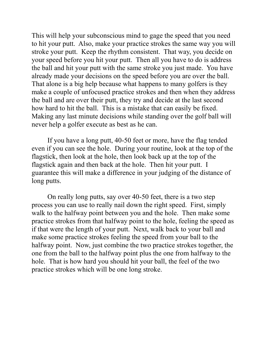This will help your subconscious mind to gage the speed that you need to hit your putt. Also, make your practice strokes the same way you will stroke your putt. Keep the rhythm consistent. That way, you decide on your speed before you hit your putt. Then all you have to do is address the ball and hit your putt with the same stroke you just made. You have already made your decisions on the speed before you are over the ball. That alone is a big help because what happens to many golfers is they make a couple of unfocused practice strokes and then when they address the ball and are over their putt, they try and decide at the last second how hard to hit the ball. This is a mistake that can easily be fixed. Making any last minute decisions while standing over the golf ball will never help a golfer execute as best as he can.

If you have a long putt, 40-50 feet or more, have the flag tended even if you can see the hole. During your routine, look at the top of the flagstick, then look at the hole, then look back up at the top of the flagstick again and then back at the hole. Then hit your putt. I guarantee this will make a difference in your judging of the distance of long putts.

On really long putts, say over 40-50 feet, there is a two step process you can use to really nail down the right speed. First, simply walk to the halfway point between you and the hole. Then make some practice strokes from that halfway point to the hole, feeling the speed as if that were the length of your putt. Next, walk back to your ball and make some practice strokes feeling the speed from your ball to the halfway point. Now, just combine the two practice strokes together, the one from the ball to the halfway point plus the one from halfway to the hole. That is how hard you should hit your ball, the feel of the two practice strokes which will be one long stroke.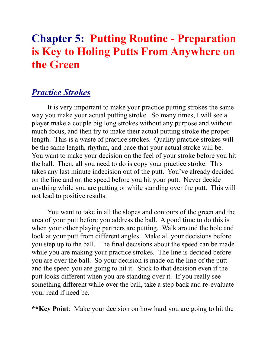# **Chapter 5: Putting Routine - Preparation is Key to Holing Putts From Anywhere on the Green**

### *Practice Strokes*

It is very important to make your practice putting strokes the same way you make your actual putting stroke. So many times, I will see a player make a couple big long strokes without any purpose and without much focus, and then try to make their actual putting stroke the proper length. This is a waste of practice strokes. Quality practice strokes will be the same length, rhythm, and pace that your actual stroke will be. You want to make your decision on the feel of your stroke before you hit the ball. Then, all you need to do is copy your practice stroke. This takes any last minute indecision out of the putt. You've already decided on the line and on the speed before you hit your putt. Never decide anything while you are putting or while standing over the putt. This will not lead to positive results.

You want to take in all the slopes and contours of the green and the area of your putt before you address the ball. A good time to do this is when your other playing partners are putting. Walk around the hole and look at your putt from different angles. Make all your decisions before you step up to the ball. The final decisions about the speed can be made while you are making your practice strokes. The line is decided before you are over the ball. So your decision is made on the line of the putt and the speed you are going to hit it. Stick to that decision even if the putt looks different when you are standing over it. If you really see something different while over the ball, take a step back and re-evaluate your read if need be.

**\*\*Key Point**: Make your decision on how hard you are going to hit the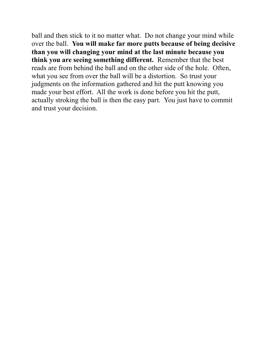ball and then stick to it no matter what. Do not change your mind while over the ball. **You will make far more putts because of being decisive than you will changing your mind at the last minute because you think you are seeing something different.** Remember that the best reads are from behind the ball and on the other side of the hole. Often, what you see from over the ball will be a distortion. So trust your judgments on the information gathered and hit the putt knowing you made your best effort. All the work is done before you hit the putt, actually stroking the ball is then the easy part. You just have to commit and trust your decision.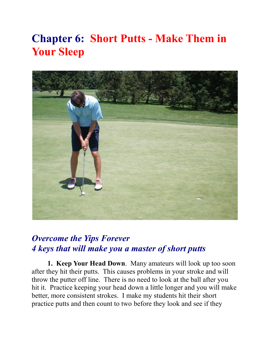# **Chapter 6: Short Putts - Make Them in Your Sleep**



#### *Overcome the Yips Forever 4 keys that will make you a master of short putts*

**1. Keep Your Head Down**. Many amateurs will look up too soon after they hit their putts. This causes problems in your stroke and will throw the putter off line. There is no need to look at the ball after you hit it. Practice keeping your head down a little longer and you will make better, more consistent strokes. I make my students hit their short practice putts and then count to two before they look and see if they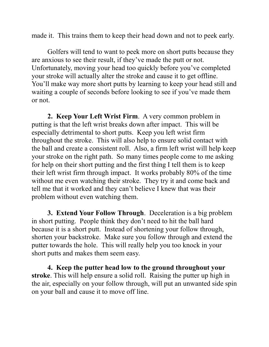made it. This trains them to keep their head down and not to peek early.

Golfers will tend to want to peek more on short putts because they are anxious to see their result, if they've made the putt or not. Unfortunately, moving your head too quickly before you've completed your stroke will actually alter the stroke and cause it to get offline. You'll make way more short putts by learning to keep your head still and waiting a couple of seconds before looking to see if you've made them or not.

**2. Keep Your Left Wrist Firm**. A very common problem in putting is that the left wrist breaks down after impact. This will be especially detrimental to short putts. Keep you left wrist firm throughout the stroke. This will also help to ensure solid contact with the ball and create a consistent roll. Also, a firm left wrist will help keep your stroke on the right path. So many times people come to me asking for help on their short putting and the first thing I tell them is to keep their left wrist firm through impact. It works probably 80% of the time without me even watching their stroke. They try it and come back and tell me that it worked and they can't believe I knew that was their problem without even watching them.

**3. Extend Your Follow Through**. Deceleration is a big problem in short putting. People think they don't need to hit the ball hard because it is a short putt. Instead of shortening your follow through, shorten your backstroke. Make sure you follow through and extend the putter towards the hole. This will really help you too knock in your short putts and makes them seem easy.

**4. Keep the putter head low to the ground throughout your stroke**. This will help ensure a solid roll. Raising the putter up high in the air, especially on your follow through, will put an unwanted side spin on your ball and cause it to move off line.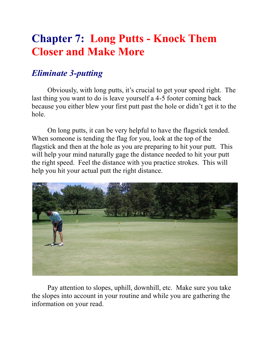# **Chapter 7: Long Putts - Knock Them Closer and Make More**

### *Eliminate 3-putting*

Obviously, with long putts, it's crucial to get your speed right. The last thing you want to do is leave yourself a 4-5 footer coming back because you either blew your first putt past the hole or didn't get it to the hole.

On long putts, it can be very helpful to have the flagstick tended. When someone is tending the flag for you, look at the top of the flagstick and then at the hole as you are preparing to hit your putt. This will help your mind naturally gage the distance needed to hit your putt the right speed. Feel the distance with you practice strokes. This will help you hit your actual putt the right distance.



Pay attention to slopes, uphill, downhill, etc. Make sure you take the slopes into account in your routine and while you are gathering the information on your read.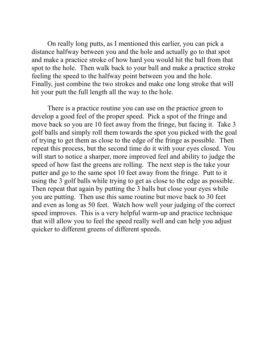On really long putts, as I mentioned this earlier, you can pick a distance halfway between you and the hole and actually go to that spot and make a practice stroke of how hard you would hit the ball from that spot to the hole. Then walk back to your ball and make a practice stroke feeling the speed to the halfway point between you and the hole. Finally, just combine the two strokes and make one long stroke that will hit your putt the full length all the way to the hole.

There is a practice routine you can use on the practice green to develop a good feel of the proper speed. Pick a spot of the fringe and move back so you are 10 feet away from the fringe, but facing it. Take 3 golf balls and simply roll them towards the spot you picked with the goal of trying to get them as close to the edge of the fringe as possible. Then repeat this process, but the second time do it with your eyes closed. You will start to notice a sharper, more improved feel and ability to judge the speed of how fast the greens are rolling. The next step is the take your putter and go to the same spot 10 feet away from the fringe. Putt to it using the 3 golf balls while trying to get as close to the edge as possible. Then repeat that again by putting the 3 balls but close your eyes while you are putting. Then use this same routine but move back to 30 feet and even as long as 50 feet. Watch how well your judging of the correct speed improves. This is a very helpful warm-up and practice technique that will allow you to feel the speed really well and can help you adjust quicker to different greens of different speeds.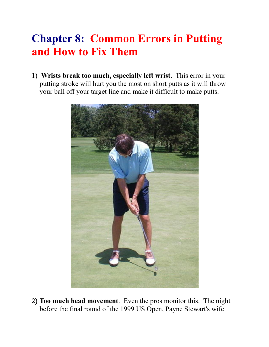# **Chapter 8: Common Errors in Putting and How to Fix Them**

**Wrists break too much, especially left wrist**. This error in your putting stroke will hurt you the most on short putts as it will throw your ball off your target line and make it difficult to make putts.



 **Too much head movement**. Even the pros monitor this. The night before the final round of the 1999 US Open, Payne Stewart's wife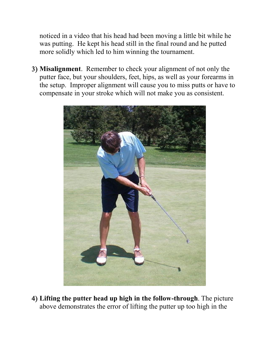noticed in a video that his head had been moving a little bit while he was putting. He kept his head still in the final round and he putted more solidly which led to him winning the tournament.

 **Misalignment**. Remember to check your alignment of not only the putter face, but your shoulders, feet, hips, as well as your forearms in the setup. Improper alignment will cause you to miss putts or have to compensate in your stroke which will not make you as consistent.



 **Lifting the putter head up high in the follow-through**. The picture above demonstrates the error of lifting the putter up too high in the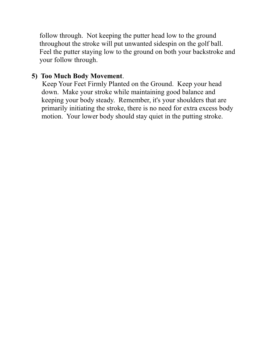follow through. Not keeping the putter head low to the ground throughout the stroke will put unwanted sidespin on the golf ball. Feel the putter staying low to the ground on both your backstroke and your follow through.

#### **5) Too Much Body Movement**.

Keep Your Feet Firmly Planted on the Ground. Keep your head down. Make your stroke while maintaining good balance and keeping your body steady. Remember, it's your shoulders that are primarily initiating the stroke, there is no need for extra excess body motion. Your lower body should stay quiet in the putting stroke.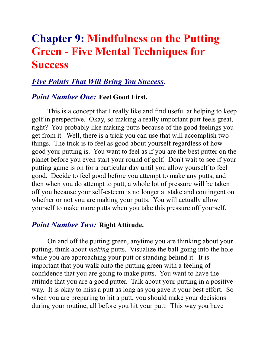# **Chapter 9: Mindfulness on the Putting Green - Five Mental Techniques for Success**

#### *Five Points That Will Bring You Success***.**

#### *Point Number One:* **Feel Good First.**

This is a concept that I really like and find useful at helping to keep golf in perspective. Okay, so making a really important putt feels great, right? You probably like making putts because of the good feelings you get from it. Well, there is a trick you can use that will accomplish two things. The trick is to feel as good about yourself regardless of how good your putting is. You want to feel as if you are the best putter on the planet before you even start your round of golf. Don't wait to see if your putting game is on for a particular day until you allow yourself to feel good. Decide to feel good before you attempt to make any putts, and then when you do attempt to putt, a whole lot of pressure will be taken off you because your self-esteem is no longer at stake and contingent on whether or not you are making your putts. You will actually allow yourself to make more putts when you take this pressure off yourself.

#### *Point Number Two:* **Right Attitude.**

On and off the putting green, anytime you are thinking about your putting, think about *making* putts. Visualize the ball going into the hole while you are approaching your putt or standing behind it. It is important that you walk onto the putting green with a feeling of confidence that you are going to make putts. You want to have the attitude that you are a good putter. Talk about your putting in a positive way. It is okay to miss a putt as long as you gave it your best effort. So when you are preparing to hit a putt, you should make your decisions during your routine, all before you hit your putt. This way you have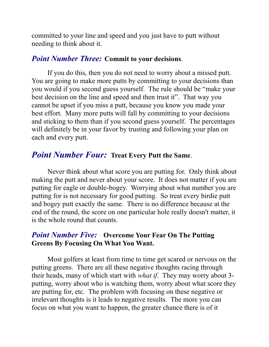committed to your line and speed and you just have to putt without needing to think about it.

#### *Point Number Three:* **Commit to your decisions**.

If you do this, then you do not need to worry about a missed putt. You are going to make more putts by committing to your decisions than you would if you second guess yourself. The rule should be "make your best decision on the line and speed and then trust it". That way you cannot be upset if you miss a putt, because you know you made your best effort. Many more putts will fall by committing to your decisions and sticking to them than if you second guess yourself. The percentages will definitely be in your favor by trusting and following your plan on each and every putt.

#### *Point Number Four:* **Treat Every Putt the Same**.

Never think about what score you are putting for. Only think about making the putt and never about your score. It does not matter if you are putting for eagle or double-bogey. Worrying about what number you are putting for is not necessary for good putting. So treat every birdie putt and bogey putt exactly the same. There is no difference because at the end of the round, the score on one particular hole really doesn't matter, it is the whole round that counts.

#### *Point Number Five:* **Overcome Your Fear On The Putting Greens By Focusing On What You Want.**

Most golfers at least from time to time get scared or nervous on the putting greens. There are all these negative thoughts racing through their heads, many of which start with *what if*. They may worry about 3 putting, worry about who is watching them, worry about what score they are putting for, etc. The problem with focusing on these negative or irrelevant thoughts is it leads to negative results. The more you can focus on what you want to happen, the greater chance there is of it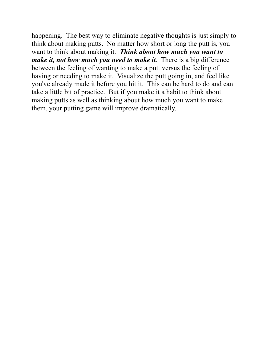happening. The best way to eliminate negative thoughts is just simply to think about making putts. No matter how short or long the putt is, you want to think about making it. *Think about how much you want to make it, not how much you need to make it.* There is a big difference between the feeling of wanting to make a putt versus the feeling of having or needing to make it. Visualize the putt going in, and feel like you've already made it before you hit it. This can be hard to do and can take a little bit of practice. But if you make it a habit to think about making putts as well as thinking about how much you want to make them, your putting game will improve dramatically.